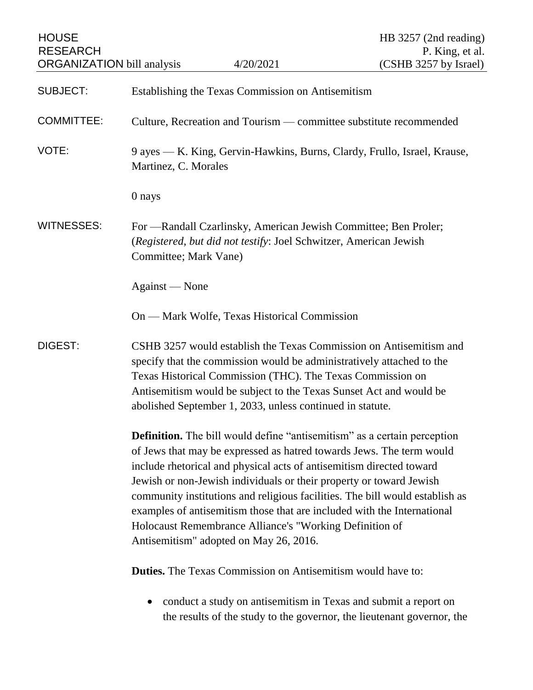| <b>HOUSE</b><br><b>RESEARCH</b>   |                                                                                                                                                                                                                                                                                                                                                                                                                                                                                                                                                                        |           | HB 3257 (2nd reading)<br>P. King, et al.                                                                                                  |
|-----------------------------------|------------------------------------------------------------------------------------------------------------------------------------------------------------------------------------------------------------------------------------------------------------------------------------------------------------------------------------------------------------------------------------------------------------------------------------------------------------------------------------------------------------------------------------------------------------------------|-----------|-------------------------------------------------------------------------------------------------------------------------------------------|
| <b>ORGANIZATION</b> bill analysis |                                                                                                                                                                                                                                                                                                                                                                                                                                                                                                                                                                        | 4/20/2021 | (CSHB 3257 by Israel)                                                                                                                     |
| <b>SUBJECT:</b>                   | Establishing the Texas Commission on Antisemitism                                                                                                                                                                                                                                                                                                                                                                                                                                                                                                                      |           |                                                                                                                                           |
| <b>COMMITTEE:</b>                 | Culture, Recreation and Tourism — committee substitute recommended                                                                                                                                                                                                                                                                                                                                                                                                                                                                                                     |           |                                                                                                                                           |
| VOTE:                             | 9 ayes — K. King, Gervin-Hawkins, Burns, Clardy, Frullo, Israel, Krause,<br>Martinez, C. Morales                                                                                                                                                                                                                                                                                                                                                                                                                                                                       |           |                                                                                                                                           |
|                                   | 0 nays                                                                                                                                                                                                                                                                                                                                                                                                                                                                                                                                                                 |           |                                                                                                                                           |
| <b>WITNESSES:</b>                 | For — Randall Czarlinsky, American Jewish Committee; Ben Proler;<br>(Registered, but did not testify: Joel Schwitzer, American Jewish<br>Committee; Mark Vane)                                                                                                                                                                                                                                                                                                                                                                                                         |           |                                                                                                                                           |
|                                   | Against — None                                                                                                                                                                                                                                                                                                                                                                                                                                                                                                                                                         |           |                                                                                                                                           |
|                                   | On — Mark Wolfe, Texas Historical Commission                                                                                                                                                                                                                                                                                                                                                                                                                                                                                                                           |           |                                                                                                                                           |
| DIGEST:                           | CSHB 3257 would establish the Texas Commission on Antisemitism and<br>specify that the commission would be administratively attached to the<br>Texas Historical Commission (THC). The Texas Commission on<br>Antisemitism would be subject to the Texas Sunset Act and would be<br>abolished September 1, 2033, unless continued in statute.                                                                                                                                                                                                                           |           |                                                                                                                                           |
|                                   | <b>Definition.</b> The bill would define "antisemitism" as a certain perception<br>of Jews that may be expressed as hatred towards Jews. The term would<br>include rhetorical and physical acts of antisemitism directed toward<br>Jewish or non-Jewish individuals or their property or toward Jewish<br>community institutions and religious facilities. The bill would establish as<br>examples of antisemitism those that are included with the International<br>Holocaust Remembrance Alliance's "Working Definition of<br>Antisemitism" adopted on May 26, 2016. |           |                                                                                                                                           |
|                                   | <b>Duties.</b> The Texas Commission on Antisemitism would have to:                                                                                                                                                                                                                                                                                                                                                                                                                                                                                                     |           |                                                                                                                                           |
|                                   |                                                                                                                                                                                                                                                                                                                                                                                                                                                                                                                                                                        |           | conduct a study on antisemitism in Texas and submit a report on<br>the results of the study to the governor, the lieutenant governor, the |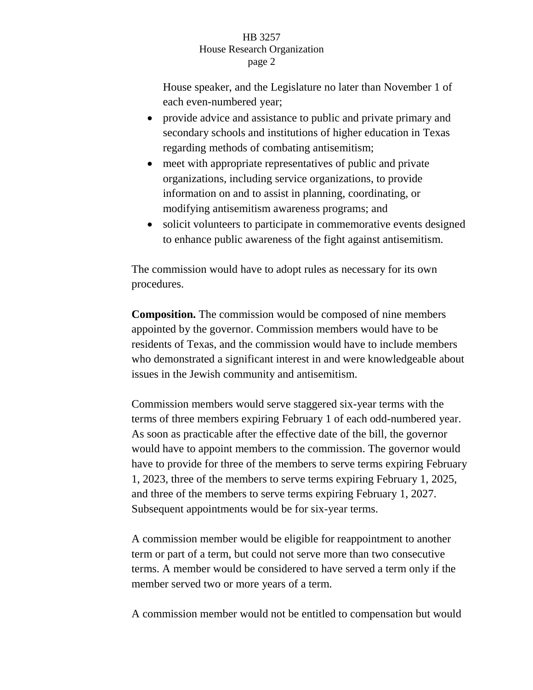## HB 3257 House Research Organization page 2

House speaker, and the Legislature no later than November 1 of each even-numbered year;

- provide advice and assistance to public and private primary and secondary schools and institutions of higher education in Texas regarding methods of combating antisemitism;
- meet with appropriate representatives of public and private organizations, including service organizations, to provide information on and to assist in planning, coordinating, or modifying antisemitism awareness programs; and
- solicit volunteers to participate in commemorative events designed to enhance public awareness of the fight against antisemitism.

The commission would have to adopt rules as necessary for its own procedures.

**Composition.** The commission would be composed of nine members appointed by the governor. Commission members would have to be residents of Texas, and the commission would have to include members who demonstrated a significant interest in and were knowledgeable about issues in the Jewish community and antisemitism.

Commission members would serve staggered six-year terms with the terms of three members expiring February 1 of each odd-numbered year. As soon as practicable after the effective date of the bill, the governor would have to appoint members to the commission. The governor would have to provide for three of the members to serve terms expiring February 1, 2023, three of the members to serve terms expiring February 1, 2025, and three of the members to serve terms expiring February 1, 2027. Subsequent appointments would be for six-year terms.

A commission member would be eligible for reappointment to another term or part of a term, but could not serve more than two consecutive terms. A member would be considered to have served a term only if the member served two or more years of a term.

A commission member would not be entitled to compensation but would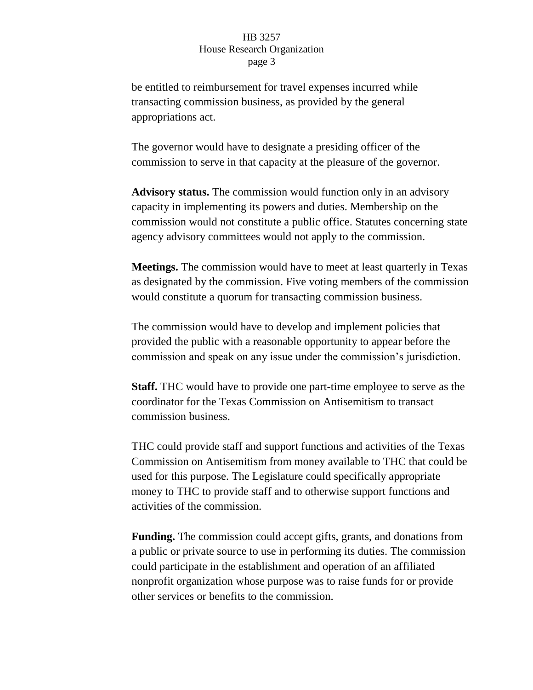## HB 3257 House Research Organization page 3

be entitled to reimbursement for travel expenses incurred while transacting commission business, as provided by the general appropriations act.

The governor would have to designate a presiding officer of the commission to serve in that capacity at the pleasure of the governor.

**Advisory status.** The commission would function only in an advisory capacity in implementing its powers and duties. Membership on the commission would not constitute a public office. Statutes concerning state agency advisory committees would not apply to the commission.

**Meetings.** The commission would have to meet at least quarterly in Texas as designated by the commission. Five voting members of the commission would constitute a quorum for transacting commission business.

The commission would have to develop and implement policies that provided the public with a reasonable opportunity to appear before the commission and speak on any issue under the commission's jurisdiction.

**Staff.** THC would have to provide one part-time employee to serve as the coordinator for the Texas Commission on Antisemitism to transact commission business.

THC could provide staff and support functions and activities of the Texas Commission on Antisemitism from money available to THC that could be used for this purpose. The Legislature could specifically appropriate money to THC to provide staff and to otherwise support functions and activities of the commission.

**Funding.** The commission could accept gifts, grants, and donations from a public or private source to use in performing its duties. The commission could participate in the establishment and operation of an affiliated nonprofit organization whose purpose was to raise funds for or provide other services or benefits to the commission.